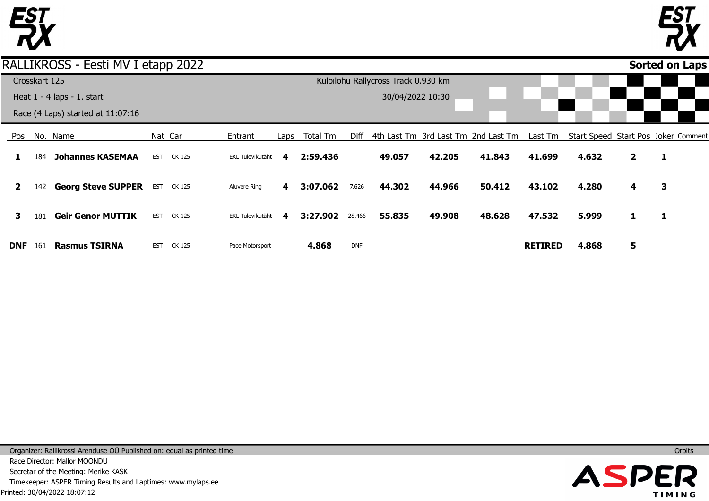

**1** 

**2** 

**3** 



**1** 

**3** 

**1** 

#### Pos **DNF** No. Name 184 142 **Georg Steve SUPPER** 181 **Geir Genor MUTTIK** 161 **Johannes KASEMAA Rasmus TSIRNA** Nat Car EST CK 125 EST CK 125 EST CK 125 EST CK 125 Entrant EKL Tulevikutäht Aluvere Ring EKL Tulevikutäht Pace Motorsport Laps **4 4 4** Total Tm **2:59.436 3:07.062 3:27.902 4.868** Diff 4th Last Tm 3rd Last Tm 2nd Last Tm 7.626 28.466 DNF **49.057 44.302 55.835 42.205 44.966 49.908 41.843 50.412 48.628** Last Tm Start Speed Start Pos Joker Comment **41.699 43.102 47.532 RETIRED 4.632 4.280 5.999 4.868 2 4 1 5 Sorted on Laps**RALLIKROSS - Eesti MV I etapp 2022 Crosskart 125 Heat 1 - 4 laps - 1. start Race (4 Laps) started at 11:07:16 Kulbilohu Rallycross Track 0.930 km 30/04/2022 10:30

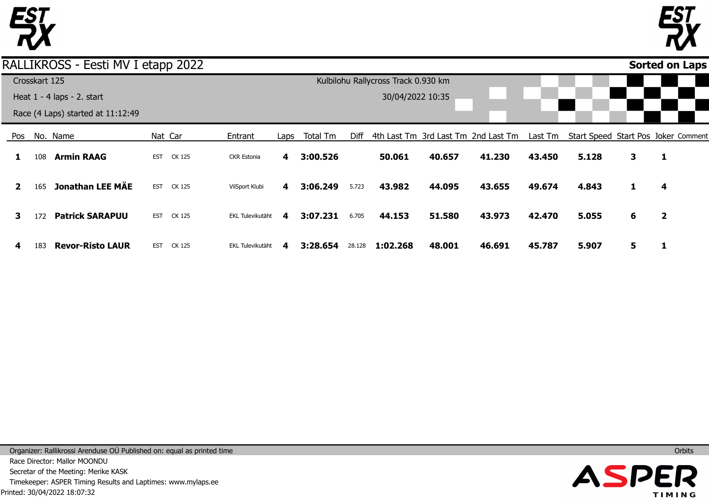



|              |               | RALLIKROSS - Eesti MV I etapp 2022 |            |                   |                  |      |          |        |                                     |        |                                     |         |                                     |    |                         | <b>Sorted on Laps</b> |
|--------------|---------------|------------------------------------|------------|-------------------|------------------|------|----------|--------|-------------------------------------|--------|-------------------------------------|---------|-------------------------------------|----|-------------------------|-----------------------|
|              | Crosskart 125 |                                    |            |                   |                  |      |          |        | Kulbilohu Rallycross Track 0.930 km |        |                                     |         |                                     |    |                         |                       |
|              |               | Heat $1 - 4$ laps $- 2$ . start    |            |                   |                  |      |          |        | 30/04/2022 10:35                    |        |                                     |         |                                     |    |                         |                       |
|              |               | Race (4 Laps) started at 11:12:49  |            |                   |                  |      |          |        |                                     |        |                                     |         |                                     |    |                         |                       |
| Pos          |               | No. Name                           |            | Nat Car           | Entrant          | Laps | Total Tm | Diff   |                                     |        | 4th Last Tm 3rd Last Tm 2nd Last Tm | Last Tm | Start Speed Start Pos Joker Comment |    |                         |                       |
|              | 108           | <b>Armin RAAG</b>                  | <b>EST</b> | CK 125            | CKR Estonia      | 4    | 3:00.526 |        | 50.061                              | 40.657 | 41.230                              | 43.450  | 5.128                               | 3  | 1                       |                       |
| $\mathbf{2}$ | 165           | <b>Jonathan LEE MÄE</b>            | <b>EST</b> | CK 125            | VilSport Klubi   | 4    | 3:06.249 | 5.723  | 43.982                              | 44.095 | 43.655                              | 49.674  | 4.843                               | 1  | 4                       |                       |
| 3            | 172           | <b>Patrick SARAPUU</b>             | <b>EST</b> | CK 125            | EKL Tulevikutäht | 4    | 3:07.231 | 6.705  | 44.153                              | 51.580 | 43.973                              | 42.470  | 5.055                               | 6  | $\overline{\mathbf{2}}$ |                       |
| 4            | 183           | <b>Revor-Risto LAUR</b>            |            | <b>EST CK 125</b> | EKL Tulevikutäht | 4    | 3:28.654 | 28.128 | 1:02.268                            | 48.001 | 46.691                              | 45.787  | 5.907                               | 5. |                         |                       |

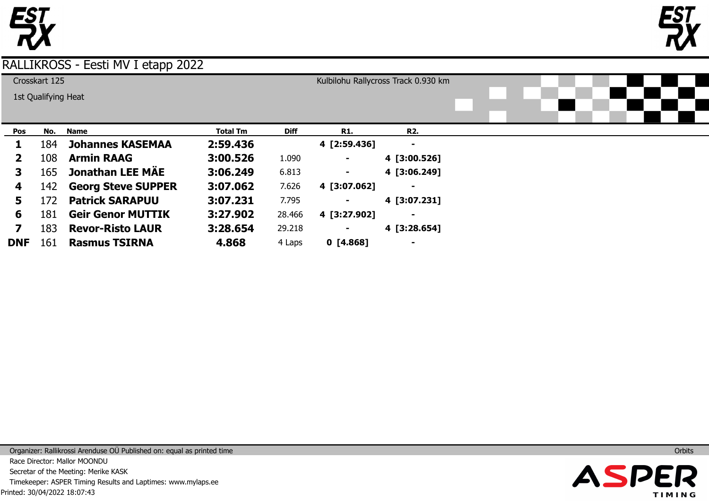



|              | Crosskart 125       |                           |                 |             |                | Kulbilohu Rallycross Track 0.930 km |  |  |  |
|--------------|---------------------|---------------------------|-----------------|-------------|----------------|-------------------------------------|--|--|--|
|              | 1st Qualifying Heat |                           |                 |             |                |                                     |  |  |  |
|              |                     |                           |                 |             |                |                                     |  |  |  |
|              |                     |                           |                 |             |                |                                     |  |  |  |
| Pos          | No.                 | <b>Name</b>               | <b>Total Tm</b> | <b>Diff</b> | <b>R1.</b>     | <b>R2.</b>                          |  |  |  |
| ı            | 184                 | <b>Johannes KASEMAA</b>   | 2:59.436        |             | 4 [2:59.436]   | $\blacksquare$                      |  |  |  |
| $\mathbf{2}$ | 108                 | <b>Armin RAAG</b>         | 3:00.526        | 1.090       |                | 4 [3:00.526]                        |  |  |  |
| 3            | 165                 | <b>Jonathan LEE MÄE</b>   | 3:06.249        | 6.813       | ۰.             | 4 [3:06.249]                        |  |  |  |
| 4            | 142                 | <b>Georg Steve SUPPER</b> | 3:07.062        | 7.626       | 4 [3:07.062]   | $\blacksquare$                      |  |  |  |
| 5.           | 172                 | <b>Patrick SARAPUU</b>    | 3:07.231        | 7.795       | $\blacksquare$ | 4 [3:07.231]                        |  |  |  |
| 6            | 181                 | <b>Geir Genor MUTTIK</b>  | 3:27.902        | 28.466      | 4 [3:27.902]   | $\blacksquare$                      |  |  |  |
| 7            | 183                 | <b>Revor-Risto LAUR</b>   | 3:28.654        | 29.218      | 4 [3:28.654]   |                                     |  |  |  |
| <b>DNF</b>   | 161                 | <b>Rasmus TSIRNA</b>      | 4.868           | 4 Laps      | 0 [4.868]      | -                                   |  |  |  |

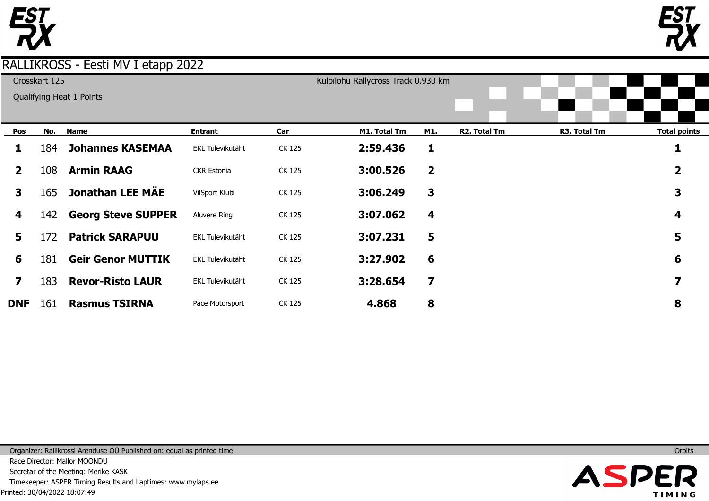



|                         | Crosskart 125 |                           |                  |        | Kulbilohu Rallycross Track 0.930 km |                         |              |              |                     |
|-------------------------|---------------|---------------------------|------------------|--------|-------------------------------------|-------------------------|--------------|--------------|---------------------|
|                         |               | Qualifying Heat 1 Points  |                  |        |                                     |                         |              |              |                     |
| Pos                     | No.           | <b>Name</b>               | <b>Entrant</b>   | Car    | M1. Total Tm                        | M1.                     | R2. Total Tm | R3. Total Tm | <b>Total points</b> |
| ı.                      | 184           | <b>Johannes KASEMAA</b>   | EKL Tulevikutäht | CK 125 | 2:59.436                            | 1                       |              |              |                     |
| $\mathbf{2}$            | 108           | <b>Armin RAAG</b>         | CKR Estonia      | CK 125 | 3:00.526                            | $\overline{\mathbf{2}}$ |              |              | 2                   |
| 3                       | 165           | Jonathan LEE MÄE          | VilSport Klubi   | CK 125 | 3:06.249                            | 3                       |              |              | 3                   |
| 4                       | 142           | <b>Georg Steve SUPPER</b> | Aluvere Ring     | CK 125 | 3:07.062                            | 4                       |              |              | 4                   |
| 5                       | 172           | <b>Patrick SARAPUU</b>    | EKL Tulevikutäht | CK 125 | 3:07.231                            | 5                       |              |              | 5                   |
| 6                       | 181           | <b>Geir Genor MUTTIK</b>  | EKL Tulevikutäht | CK 125 | 3:27.902                            | 6                       |              |              | 6                   |
| $\overline{\mathbf{z}}$ | 183           | <b>Revor-Risto LAUR</b>   | EKL Tulevikutäht | CK 125 | 3:28.654                            | $\overline{\mathbf{z}}$ |              |              | 7                   |
| <b>DNF</b>              | 161           | <b>Rasmus TSIRNA</b>      | Pace Motorsport  | CK 125 | 4.868                               | 8                       |              |              | 8                   |

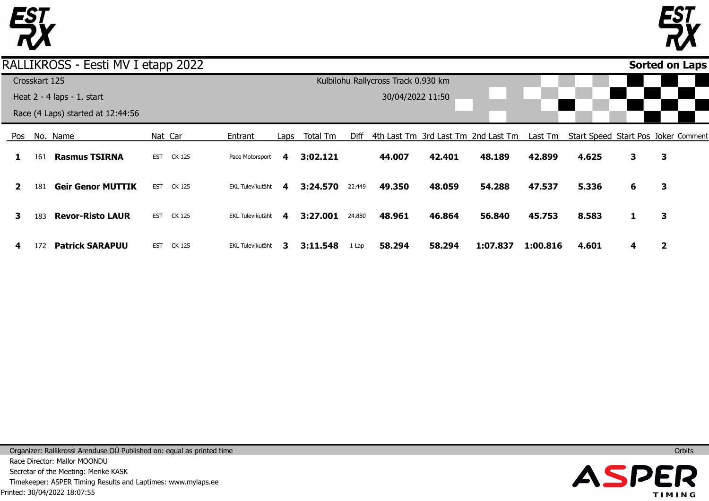



**Sorted on Laps**

### RALLIKROSS - Eesti MV I etapp 2022

|              |               |                                   |            | . .     |                  |      |          |        |                                     |        |                                     |          |                                     |   |   |  |
|--------------|---------------|-----------------------------------|------------|---------|------------------|------|----------|--------|-------------------------------------|--------|-------------------------------------|----------|-------------------------------------|---|---|--|
|              | Crosskart 125 |                                   |            |         |                  |      |          |        | Kulbilohu Rallycross Track 0.930 km |        |                                     |          |                                     |   |   |  |
|              |               | Heat $2 - 4$ laps $- 1$ . start   |            |         |                  |      |          |        | 30/04/2022 11:50                    |        |                                     |          |                                     |   |   |  |
|              |               | Race (4 Laps) started at 12:44:56 |            |         |                  |      |          |        |                                     |        |                                     |          |                                     |   |   |  |
| Pos          |               | No. Name                          |            | Nat Car | Entrant          | Laps | Total Tm | Diff   |                                     |        | 4th Last Tm 3rd Last Tm 2nd Last Tm | Last Tm  | Start Speed Start Pos Joker Comment |   |   |  |
|              | 161           | <b>Rasmus TSIRNA</b>              | <b>EST</b> | CK 125  | Pace Motorsport  | 4    | 3:02.121 |        | 44.007                              | 42.401 | 48.189                              | 42.899   | 4.625                               | 3 | 3 |  |
| $\mathbf{2}$ | 181           | <b>Geir Genor MUTTIK</b>          | <b>EST</b> | CK 125  | EKL Tulevikutäht | 4    | 3:24.570 | 22.449 | 49.350                              | 48.059 | 54.288                              | 47.537   | 5.336                               | 6 | 3 |  |
| 3            | 183           | <b>Revor-Risto LAUR</b>           | <b>EST</b> | CK 125  | EKL Tulevikutäht | 4    | 3:27.001 | 24.880 | 48.961                              | 46.864 | 56.840                              | 45.753   | 8.583                               | 1 | 3 |  |
| 4            | 172           | <b>Patrick SARAPUU</b>            | <b>EST</b> | CK 125  | EKL Tulevikutäht | З.   | 3:11.548 | 1 Lap  | 58.294                              | 58.294 | 1:07.837                            | 1:00.816 | 4.601                               | 4 | 2 |  |

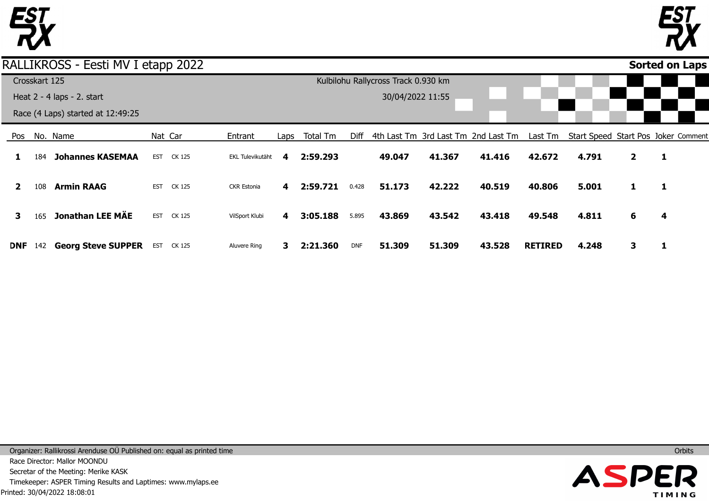



**Sorted on Laps**

### RALLIKROSS - Eesti MV I etapp 2022

|     |               |                                   | .          |         |                    |      |          |            |                                     |        |                                     |                |       |              |                                     |  |
|-----|---------------|-----------------------------------|------------|---------|--------------------|------|----------|------------|-------------------------------------|--------|-------------------------------------|----------------|-------|--------------|-------------------------------------|--|
|     | Crosskart 125 |                                   |            |         |                    |      |          |            | Kulbilohu Rallycross Track 0.930 km |        |                                     |                |       |              |                                     |  |
|     |               | Heat 2 - 4 laps - 2. start        |            |         |                    |      |          |            | 30/04/2022 11:55                    |        |                                     |                |       |              |                                     |  |
|     |               | Race (4 Laps) started at 12:49:25 |            |         |                    |      |          |            |                                     |        |                                     |                |       |              |                                     |  |
| Pos |               | No. Name                          |            | Nat Car | Entrant            | Laps | Total Tm | Diff       |                                     |        | 4th Last Tm 3rd Last Tm 2nd Last Tm | Last Tm        |       |              | Start Speed Start Pos Joker Comment |  |
|     | 184           | <b>Johannes KASEMAA</b>           | <b>EST</b> | CK 125  | EKL Tulevikutäht   | 4    | 2:59.293 |            | 49.047                              | 41.367 | 41.416                              | 42.672         | 4.791 | $\mathbf{2}$ | 1                                   |  |
|     | 108           | <b>Armin RAAG</b>                 | <b>EST</b> | CK 125  | <b>CKR Estonia</b> | 4    | 2:59.721 | 0.428      | 51.173                              | 42.222 | 40.519                              | 40.806         | 5.001 | 1            | 1                                   |  |
|     | 165           | <b>Jonathan LEE MÄE</b>           | <b>EST</b> | CK 125  | VilSport Klubi     | 4    | 3:05.188 | 5.895      | 43.869                              | 43.542 | 43.418                              | 49.548         | 4.811 | 6            | 4                                   |  |
| DNF | 142           | <b>Georg Steve SUPPER</b>         | <b>EST</b> | CK 125  | Aluvere Ring       | 3.   | 2:21.360 | <b>DNF</b> | 51.309                              | 51.309 | 43.528                              | <b>RETIRED</b> | 4.248 | 3            |                                     |  |

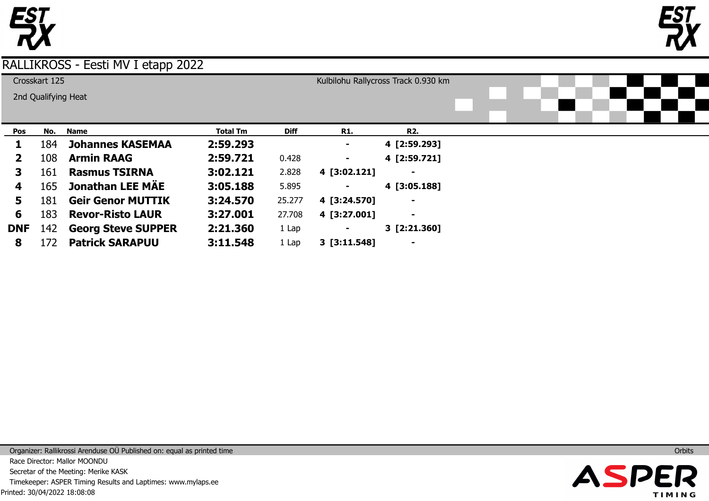



|              | Crosskart 125       |                           |                 |             |                | Kulbilohu Rallycross Track 0.930 km |  |  |  |
|--------------|---------------------|---------------------------|-----------------|-------------|----------------|-------------------------------------|--|--|--|
|              | 2nd Qualifying Heat |                           |                 |             |                |                                     |  |  |  |
|              |                     |                           |                 |             |                |                                     |  |  |  |
|              |                     |                           |                 |             |                |                                     |  |  |  |
| Pos          | No.                 | <b>Name</b>               | <b>Total Tm</b> | <b>Diff</b> | <b>R1.</b>     | <b>R2.</b>                          |  |  |  |
|              | 184                 | <b>Johannes KASEMAA</b>   | 2:59.293        |             | $\blacksquare$ | 4 [2:59.293]                        |  |  |  |
| $\mathbf{z}$ | 108                 | <b>Armin RAAG</b>         | 2:59.721        | 0.428       | $\blacksquare$ | 4 [2:59.721]                        |  |  |  |
| 3            | 161                 | <b>Rasmus TSIRNA</b>      | 3:02.121        | 2.828       | 4 [3:02.121]   |                                     |  |  |  |
| 4            | 165                 | Jonathan LEE MAE          | 3:05.188        | 5.895       | $\blacksquare$ | 4 [3:05.188]                        |  |  |  |
| 5.           | 181                 | <b>Geir Genor MUTTIK</b>  | 3:24.570        | 25.277      | 4 [3:24.570]   |                                     |  |  |  |
| 6            | 183                 | <b>Revor-Risto LAUR</b>   | 3:27.001        | 27.708      | 4 [3:27.001]   | $\blacksquare$                      |  |  |  |
| <b>DNF</b>   | 142                 | <b>Georg Steve SUPPER</b> | 2:21.360        | 1 Lap       | $\blacksquare$ | 3 [2:21.360]                        |  |  |  |
| 8            | 172                 | <b>Patrick SARAPUU</b>    | 3:11.548        | 1 Lap       | 3 [3:11.548]   |                                     |  |  |  |

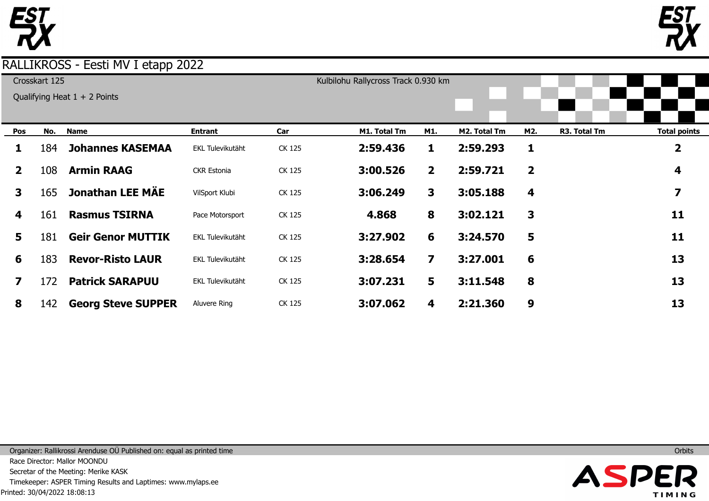



|              | Crosskart 125 |                                |                    |        | Kulbilohu Rallycross Track 0.930 km |                         |              |                |              |                     |
|--------------|---------------|--------------------------------|--------------------|--------|-------------------------------------|-------------------------|--------------|----------------|--------------|---------------------|
|              |               | Qualifying Heat $1 + 2$ Points |                    |        |                                     |                         |              |                |              |                     |
|              |               |                                |                    |        |                                     |                         |              |                |              |                     |
| Pos          | No.           | <b>Name</b>                    | Entrant            | Car    | M1. Total Tm                        | M1.                     | M2. Total Tm | M2.            | R3. Total Tm | <b>Total points</b> |
| 1            | 184           | <b>Johannes KASEMAA</b>        | EKL Tulevikutäht   | CK 125 | 2:59.436                            | 1                       | 2:59.293     | 1              |              | 2                   |
| $\mathbf{2}$ | 108           | <b>Armin RAAG</b>              | <b>CKR Estonia</b> | CK 125 | 3:00.526                            | $\overline{2}$          | 2:59.721     | $\overline{2}$ |              | 4                   |
| 3            | 165           | <b>Jonathan LEE MÄE</b>        | VilSport Klubi     | CK 125 | 3:06.249                            | 3                       | 3:05.188     | 4              |              | 7                   |
| 4            | 161           | <b>Rasmus TSIRNA</b>           | Pace Motorsport    | CK 125 | 4.868                               | 8                       | 3:02.121     | 3              |              | 11                  |
| 5.           | 181           | <b>Geir Genor MUTTIK</b>       | EKL Tulevikutäht   | CK 125 | 3:27.902                            | 6                       | 3:24.570     | 5              |              | 11                  |
| 6            | 183           | <b>Revor-Risto LAUR</b>        | EKL Tulevikutäht   | CK 125 | 3:28.654                            | $\overline{\mathbf{z}}$ | 3:27.001     | 6              |              | 13                  |
| 7            | 172           | <b>Patrick SARAPUU</b>         | EKL Tulevikutäht   | CK 125 | 3:07.231                            | 5                       | 3:11.548     | 8              |              | 13                  |
| 8            | 142           | <b>Georg Steve SUPPER</b>      | Aluvere Ring       | CK 125 | 3:07.062                            | 4                       | 2:21.360     | 9              |              | 13                  |

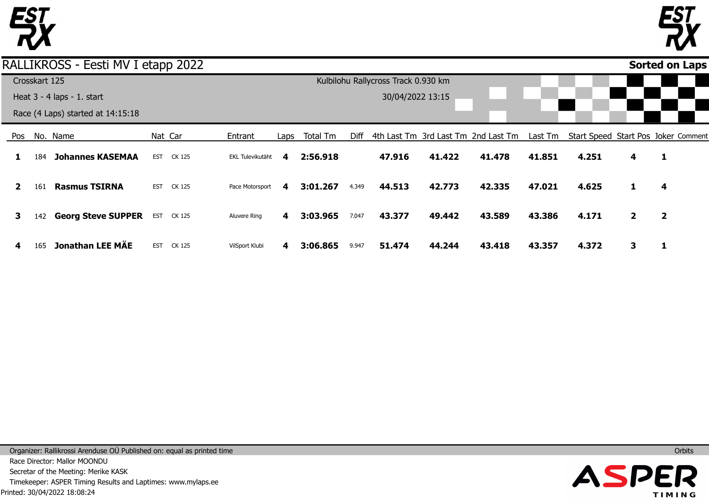

Pos

**1** 

**2** 

**3** 

**4** 

165

**Jonathan LEE MÄE** 

EST CK 125

VilSport Klubi

**4** 

**3:06.865** 

9.947

**51.474** 

**44.244** 

**43.418** 

**43.357** 

**4.372** 

**3** 



**1** 

**4** 

**2** 

**1** 

#### No. Name 184 161 **Rasmus TSIRNA** 142 **Georg Steve SUPPER Johannes KASEMAA** Nat Car EST CK 125 EST CK 125 EST CK 125 Entrant EKL Tulevikutäht Pace Motorsport Aluvere Ring Laps **4 4 4** Total Tm **2:56.918 3:01.267 3:03.965** Diff 4th Last Tm 3rd Last Tm 2nd Last Tm 4.349 7.047 **47.916 44.513 43.377 41.422 42.773 49.442 41.478 42.335 43.589** Last Tm Start Speed Start Pos Joker Comment **41.851 47.021 43.386 4.251 4.625 4.171 4 1 2 Sorted on Laps**RALLIKROSS - Eesti MV I etapp 2022 Crosskart 125 Heat 3 - 4 laps - 1. start Race (4 Laps) started at 14:15:18 Kulbilohu Rallycross Track 0.930 km 30/04/2022 13:15

Printed: 30/04/2022 18:08:24 Organizer: Rallikrossi Arenduse OÜ Published on: equal as printed time Race Director: Mallor MOONDU Secretar of the Meeting: Merike KASK Timekeeper: ASPER Timing Results and Laptimes: www.mylaps.ee

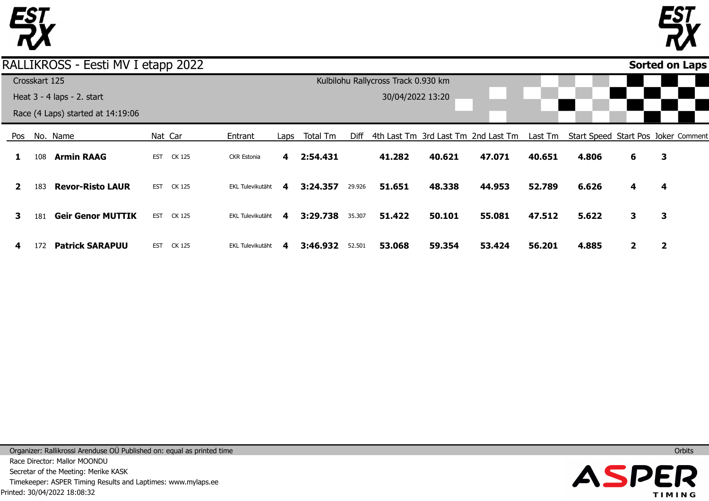



**Sorted on Laps**

### RALLIKROSS - Eesti MV I etapp 2022

|              |               |                                   | . .        |         |                         |                         |          |        |                                     |        |                                     |         |       |              |                                     |
|--------------|---------------|-----------------------------------|------------|---------|-------------------------|-------------------------|----------|--------|-------------------------------------|--------|-------------------------------------|---------|-------|--------------|-------------------------------------|
|              | Crosskart 125 |                                   |            |         |                         |                         |          |        | Kulbilohu Rallycross Track 0.930 km |        |                                     |         |       |              |                                     |
|              |               | Heat $3 - 4$ laps $- 2$ . start   |            |         |                         |                         |          |        | 30/04/2022 13:20                    |        |                                     |         |       |              |                                     |
|              |               | Race (4 Laps) started at 14:19:06 |            |         |                         |                         |          |        |                                     |        |                                     |         |       |              |                                     |
| Pos          |               | No. Name                          |            | Nat Car | Entrant                 | Laps                    | Total Tm | Diff   |                                     |        | 4th Last Tm 3rd Last Tm 2nd Last Tm | Last Tm |       |              | Start Speed Start Pos Joker Comment |
|              | 108           | <b>Armin RAAG</b>                 | <b>EST</b> | CK 125  | <b>CKR Estonia</b>      | $\overline{\mathbf{4}}$ | 2:54.431 |        | 41.282                              | 40.621 | 47.071                              | 40.651  | 4.806 | 6            | 3                                   |
| $\mathbf{2}$ | 183           | <b>Revor-Risto LAUR</b>           | <b>EST</b> | CK 125  | <b>EKL Tulevikutäht</b> | 4                       | 3:24.357 | 29.926 | 51.651                              | 48.338 | 44.953                              | 52.789  | 6.626 | 4            | 4                                   |
| 3            | 181           | <b>Geir Genor MUTTIK</b>          | <b>EST</b> | CK 125  | EKL Tulevikutäht        | 4                       | 3:29.738 | 35.307 | 51.422                              | 50.101 | 55.081                              | 47.512  | 5.622 | 3            | 3                                   |
| 4            | 172           | <b>Patrick SARAPUU</b>            | <b>EST</b> | CK 125  | EKL Tulevikutäht        | 4                       | 3:46.932 | 52.501 | 53.068                              | 59.354 | 53.424                              | 56.201  | 4.885 | $\mathbf{2}$ | 2                                   |

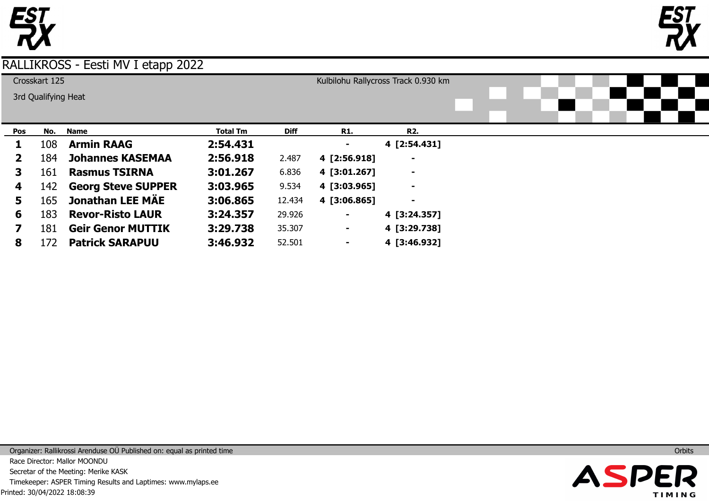



|              | Crosskart 125<br>3rd Qualifying Heat |                           |                 |             |                | Kulbilohu Rallycross Track 0.930 km |  |  |  |
|--------------|--------------------------------------|---------------------------|-----------------|-------------|----------------|-------------------------------------|--|--|--|
| Pos          | No.                                  | <b>Name</b>               | <b>Total Tm</b> | <b>Diff</b> | <b>R1.</b>     | <b>R2.</b>                          |  |  |  |
|              | 108                                  | <b>Armin RAAG</b>         | 2:54.431        |             | ۰              | 4 [2:54.431]                        |  |  |  |
| $\mathbf{2}$ | 184                                  | <b>Johannes KASEMAA</b>   | 2:56.918        | 2.487       | 4 [2:56.918]   |                                     |  |  |  |
| 3            | 161                                  | <b>Rasmus TSIRNA</b>      | 3:01.267        | 6.836       | 4 [3:01.267]   | $\blacksquare$                      |  |  |  |
| 4            | 142                                  | <b>Georg Steve SUPPER</b> | 3:03.965        | 9.534       | 4 [3:03.965]   | $\blacksquare$                      |  |  |  |
| 5            | 165                                  | <b>Jonathan LEE MÄE</b>   | 3:06.865        | 12.434      | 4 [3:06.865]   | $\blacksquare$                      |  |  |  |
| 6            | 183                                  | <b>Revor-Risto LAUR</b>   | 3:24.357        | 29.926      | ٠              | 4 [3:24.357]                        |  |  |  |
|              | 181                                  | <b>Geir Genor MUTTIK</b>  | 3:29.738        | 35.307      | ٠              | 4 [3:29.738]                        |  |  |  |
| 8            | 172                                  | <b>Patrick SARAPUU</b>    | 3:46.932        | 52.501      | $\blacksquare$ | 4 [3:46.932]                        |  |  |  |

Printed: 30/04/2022 18:08:39 Organizer: Rallikrossi Arenduse OÜ Published on: equal as printed time Race Director: Mallor MOONDU Secretar of the Meeting: Merike KASK Timekeeper: ASPER Timing Results and Laptimes: www.mylaps.ee

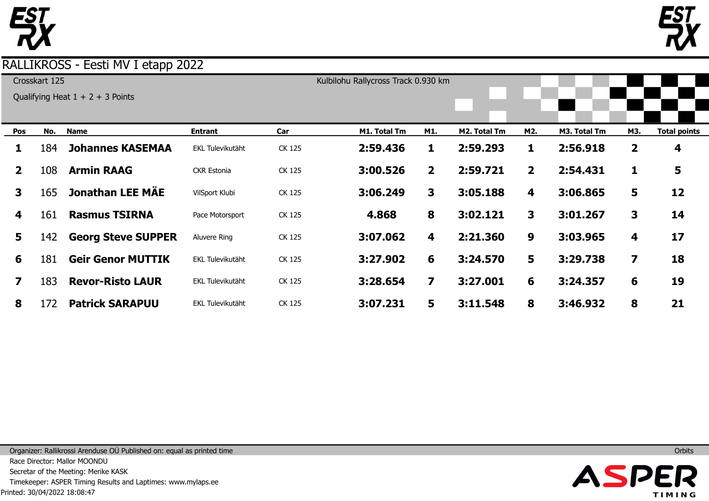



| Crosskart 125  |     |                                    |                         |        | Kulbilohu Rallycross Track 0.930 km |                         |              |                |              |              |                     |
|----------------|-----|------------------------------------|-------------------------|--------|-------------------------------------|-------------------------|--------------|----------------|--------------|--------------|---------------------|
|                |     | Qualifying Heat $1 + 2 + 3$ Points |                         |        |                                     |                         |              |                |              |              |                     |
|                |     |                                    |                         |        |                                     |                         |              |                |              |              |                     |
| Pos            | No. | <b>Name</b>                        | <b>Entrant</b>          | Car    | M1. Total Tm                        | M1.                     | M2. Total Tm | M2.            | M3. Total Tm | M3.          | <b>Total points</b> |
| 1              | 184 | <b>Johannes KASEMAA</b>            | EKL Tulevikutäht        | CK 125 | 2:59.436                            | 1                       | 2:59.293     | $\mathbf{1}$   | 2:56.918     | $\mathbf{2}$ | 4                   |
| $\overline{2}$ | 108 | <b>Armin RAAG</b>                  | <b>CKR Estonia</b>      | CK 125 | 3:00.526                            | $\overline{2}$          | 2:59.721     | $\overline{2}$ | 2:54.431     | 1            | 5                   |
| $\mathbf{3}$   | 165 | <b>Jonathan LEE MÄE</b>            | VilSport Klubi          | CK 125 | 3:06.249                            | 3                       | 3:05.188     | 4              | 3:06.865     | 5            | 12                  |
| 4              | 161 | <b>Rasmus TSIRNA</b>               | Pace Motorsport         | CK 125 | 4.868                               | 8                       | 3:02.121     | $\mathbf{3}$   | 3:01.267     | 3            | 14                  |
| 5              | 142 | <b>Georg Steve SUPPER</b>          | Aluvere Ring            | CK 125 | 3:07.062                            | 4                       | 2:21.360     | 9              | 3:03.965     | 4            | 17                  |
| 6              | 181 | <b>Geir Genor MUTTIK</b>           | <b>EKL Tulevikutäht</b> | CK 125 | 3:27.902                            | 6                       | 3:24.570     | 5              | 3:29.738     | 7            | 18                  |
| 7              | 183 | <b>Revor-Risto LAUR</b>            | EKL Tulevikutäht        | CK 125 | 3:28.654                            | $\overline{\mathbf{z}}$ | 3:27.001     | 6              | 3:24.357     | 6            | 19                  |
| 8              | 172 | <b>Patrick SARAPUU</b>             | EKL Tulevikutäht        | CK 125 | 3:07.231                            | 5                       | 3:11.548     | 8              | 3:46.932     | 8            | 21                  |